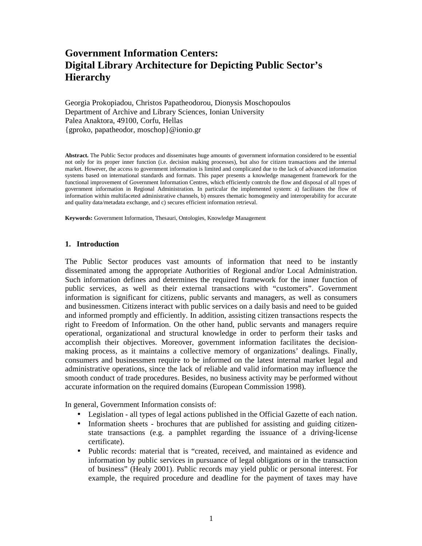# **Government Information Centers: Digital Library Architecture for Depicting Public Sector's Hierarchy**

Georgia Prokopiadou, Christos Papatheodorou, Dionysis Moschopoulos Department of Archive and Library Sciences, Ionian University Palea Anaktora, 49100, Corfu, Hellas {gproko, papatheodor, moschop}@ionio.gr

**Abstract.** The Public Sector produces and disseminates huge amounts of government information considered to be essential not only for its proper inner function (i.e. decision making processes), but also for citizen transactions and the internal market. However, the access to government information is limited and complicated due to the lack of advanced information systems based on international standards and formats. This paper presents a knowledge management framework for the functional improvement of Government Information Centres, which efficiently controls the flow and disposal of all types of government information in Regional Administration. In particular the implemented system: a) facilitates the flow of information within multifaceted administrative channels, b) ensures thematic homogeneity and interoperability for accurate and quality data/metadata exchange, and c) secures efficient information retrieval.

**Keywords:** Government Information, Thesauri, Ontologies, Knowledge Management

#### **1. Introduction**

The Public Sector produces vast amounts of information that need to be instantly disseminated among the appropriate Authorities of Regional and/or Local Administration. Such information defines and determines the required framework for the inner function of public services, as well as their external transactions with "customers". Government information is significant for citizens, public servants and managers, as well as consumers and businessmen. Citizens interact with public services on a daily basis and need to be guided and informed promptly and efficiently. In addition, assisting citizen transactions respects the right to Freedom of Information. On the other hand, public servants and managers require operational, organizational and structural knowledge in order to perform their tasks and accomplish their objectives. Moreover, government information facilitates the decisionmaking process, as it maintains a collective memory of organizations' dealings. Finally, consumers and businessmen require to be informed on the latest internal market legal and administrative operations, since the lack of reliable and valid information may influence the smooth conduct of trade procedures. Besides, no business activity may be performed without accurate information on the required domains (European Commission 1998).

In general, Government Information consists of:

- Legislation all types of legal actions published in the Official Gazette of each nation.
- Information sheets brochures that are published for assisting and guiding citizenstate transactions (e.g. a pamphlet regarding the issuance of a driving-license certificate).
- Public records: material that is "created, received, and maintained as evidence and information by public services in pursuance of legal obligations or in the transaction of business" (Healy 2001). Public records may yield public or personal interest. For example, the required procedure and deadline for the payment of taxes may have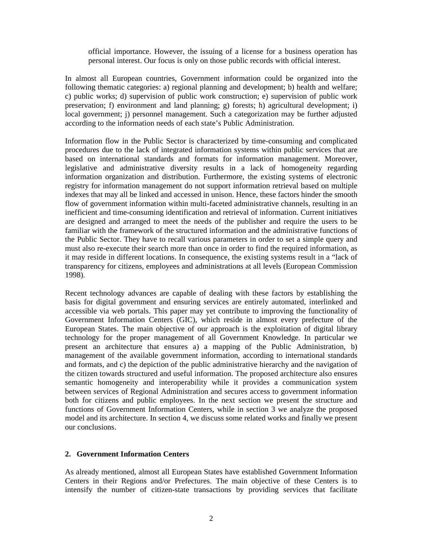official importance. However, the issuing of a license for a business operation has personal interest. Our focus is only on those public records with official interest.

In almost all European countries, Government information could be organized into the following thematic categories: a) regional planning and development; b) health and welfare; c) public works; d) supervision of public work construction; e) supervision of public work preservation; f) environment and land planning; g) forests; h) agricultural development; i) local government; j) personnel management. Such a categorization may be further adjusted according to the information needs of each state's Public Administration.

Information flow in the Public Sector is characterized by time-consuming and complicated procedures due to the lack of integrated information systems within public services that are based on international standards and formats for information management. Moreover, legislative and administrative diversity results in a lack of homogeneity regarding information organization and distribution. Furthermore, the existing systems of electronic registry for information management do not support information retrieval based on multiple indexes that may all be linked and accessed in unison. Hence, these factors hinder the smooth flow of government information within multi-faceted administrative channels, resulting in an inefficient and time-consuming identification and retrieval of information. Current initiatives are designed and arranged to meet the needs of the publisher and require the users to be familiar with the framework of the structured information and the administrative functions of the Public Sector. They have to recall various parameters in order to set a simple query and must also re-execute their search more than once in order to find the required information, as it may reside in different locations. In consequence, the existing systems result in a "lack of transparency for citizens, employees and administrations at all levels (European Commission 1998).

Recent technology advances are capable of dealing with these factors by establishing the basis for digital government and ensuring services are entirely automated, interlinked and accessible via web portals. This paper may yet contribute to improving the functionality of Government Information Centers (GIC), which reside in almost every prefecture of the European States. The main objective of our approach is the exploitation of digital library technology for the proper management of all Government Knowledge. In particular we present an architecture that ensures a) a mapping of the Public Administration, b) management of the available government information, according to international standards and formats, and c) the depiction of the public administrative hierarchy and the navigation of the citizen towards structured and useful information. The proposed architecture also ensures semantic homogeneity and interoperability while it provides a communication system between services of Regional Administration and secures access to government information both for citizens and public employees. In the next section we present the structure and functions of Government Information Centers, while in section 3 we analyze the proposed model and its architecture. In section 4, we discuss some related works and finally we present our conclusions.

#### **2. Government Information Centers**

As already mentioned, almost all European States have established Government Information Centers in their Regions and/or Prefectures. The main objective of these Centers is to intensify the number of citizen-state transactions by providing services that facilitate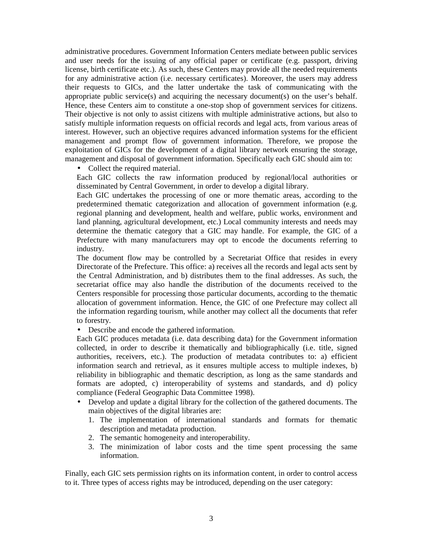administrative procedures. Government Information Centers mediate between public services and user needs for the issuing of any official paper or certificate (e.g. passport, driving license, birth certificate etc.). As such, these Centers may provide all the needed requirements for any administrative action (i.e. necessary certificates). Moreover, the users may address their requests to GICs, and the latter undertake the task of communicating with the appropriate public service(s) and acquiring the necessary document(s) on the user's behalf. Hence, these Centers aim to constitute a one-stop shop of government services for citizens. Their objective is not only to assist citizens with multiple administrative actions, but also to satisfy multiple information requests on official records and legal acts, from various areas of interest. However, such an objective requires advanced information systems for the efficient management and prompt flow of government information. Therefore, we propose the exploitation of GICs for the development of a digital library network ensuring the storage, management and disposal of government information. Specifically each GIC should aim to:

• Collect the required material.

Each GIC collects the raw information produced by regional/local authorities or disseminated by Central Government, in order to develop a digital library.

Each GIC undertakes the processing of one or more thematic areas, according to the predetermined thematic categorization and allocation of government information (e.g. regional planning and development, health and welfare, public works, environment and land planning, agricultural development, etc.) Local community interests and needs may determine the thematic category that a GIC may handle. For example, the GIC of a Prefecture with many manufacturers may opt to encode the documents referring to industry.

The document flow may be controlled by a Secretariat Office that resides in every Directorate of the Prefecture. This office: a) receives all the records and legal acts sent by the Central Administration, and b) distributes them to the final addresses. As such, the secretariat office may also handle the distribution of the documents received to the Centers responsible for processing those particular documents, according to the thematic allocation of government information. Hence, the GIC of one Prefecture may collect all the information regarding tourism, while another may collect all the documents that refer to forestry.

• Describe and encode the gathered information.

Each GIC produces metadata (i.e. data describing data) for the Government information collected, in order to describe it thematically and bibliographically (i.e. title, signed authorities, receivers, etc.). The production of metadata contributes to: a) efficient information search and retrieval, as it ensures multiple access to multiple indexes, b) reliability in bibliographic and thematic description, as long as the same standards and formats are adopted, c) interoperability of systems and standards, and d) policy compliance (Federal Geographic Data Committee 1998).

- Develop and update a digital library for the collection of the gathered documents. The main objectives of the digital libraries are:
	- 1. The implementation of international standards and formats for thematic description and metadata production.
	- 2. The semantic homogeneity and interoperability.
	- 3. The minimization of labor costs and the time spent processing the same information.

Finally, each GIC sets permission rights on its information content, in order to control access to it. Three types of access rights may be introduced, depending on the user category: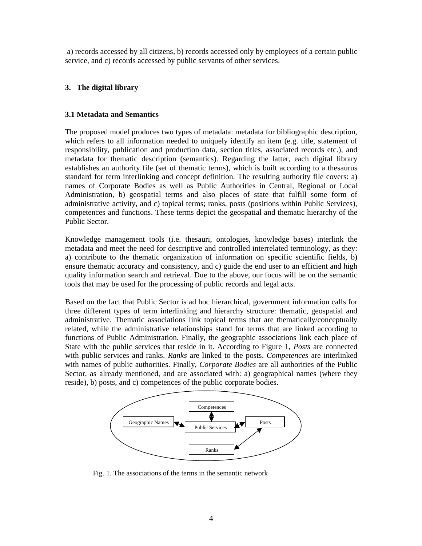a) records accessed by all citizens, b) records accessed only by employees of a certain public service, and c) records accessed by public servants of other services.

## **3. The digital library**

## **3.1 Metadata and Semantics**

The proposed model produces two types of metadata: metadata for bibliographic description, which refers to all information needed to uniquely identify an item (e.g. title, statement of responsibility, publication and production data, section titles, associated records etc.), and metadata for thematic description (semantics). Regarding the latter, each digital library establishes an authority file (set of thematic terms), which is built according to a thesaurus standard for term interlinking and concept definition. The resulting authority file covers: a) names of Corporate Bodies as well as Public Authorities in Central, Regional or Local Administration, b) geospatial terms and also places of state that fulfill some form of administrative activity, and c) topical terms; ranks, posts (positions within Public Services), competences and functions. These terms depict the geospatial and thematic hierarchy of the Public Sector.

Knowledge management tools (i.e. thesauri, ontologies, knowledge bases) interlink the metadata and meet the need for descriptive and controlled interrelated terminology, as they: a) contribute to the thematic organization of information on specific scientific fields, b) ensure thematic accuracy and consistency, and c) guide the end user to an efficient and high quality information search and retrieval. Due to the above, our focus will be on the semantic tools that may be used for the processing of public records and legal acts.

Based on the fact that Public Sector is ad hoc hierarchical, government information calls for three different types of term interlinking and hierarchy structure: thematic, geospatial and administrative. Thematic associations link topical terms that are thematically/conceptually related, while the administrative relationships stand for terms that are linked according to functions of Public Administration. Finally, the geographic associations link each place of State with the public services that reside in it. According to Figure 1, *Posts* are connected with public services and ranks. *Ranks* are linked to the posts. *Competences* are interlinked with names of public authorities. Finally, *Corporate Bodies* are all authorities of the Public Sector, as already mentioned, and are associated with: a) geographical names (where they reside), b) posts, and c) competences of the public corporate bodies.



Fig. 1. The associations of the terms in the semantic network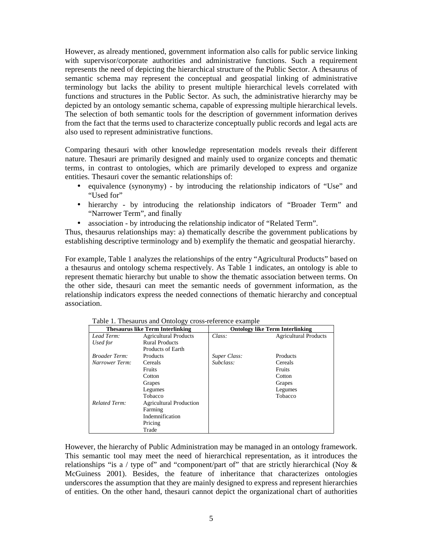However, as already mentioned, government information also calls for public service linking with supervisor/corporate authorities and administrative functions. Such a requirement represents the need of depicting the hierarchical structure of the Public Sector. A thesaurus of semantic schema may represent the conceptual and geospatial linking of administrative terminology but lacks the ability to present multiple hierarchical levels correlated with functions and structures in the Public Sector. As such, the administrative hierarchy may be depicted by an ontology semantic schema, capable of expressing multiple hierarchical levels. The selection of both semantic tools for the description of government information derives from the fact that the terms used to characterize conceptually public records and legal acts are also used to represent administrative functions.

Comparing thesauri with other knowledge representation models reveals their different nature. Thesauri are primarily designed and mainly used to organize concepts and thematic terms, in contrast to ontologies, which are primarily developed to express and organize entities. Thesauri cover the semantic relationships of:

- equivalence (synonymy) by introducing the relationship indicators of "Use" and "Used for"
- hierarchy by introducing the relationship indicators of "Broader Term" and "Narrower Term", and finally
- association by introducing the relationship indicator of "Related Term".

Thus, thesaurus relationships may: a) thematically describe the government publications by establishing descriptive terminology and b) exemplify the thematic and geospatial hierarchy.

For example, Table 1 analyzes the relationships of the entry "Agricultural Products" based on a thesaurus and ontology schema respectively. As Table 1 indicates, an ontology is able to represent thematic hierarchy but unable to show the thematic association between terms. On the other side, thesauri can meet the semantic needs of government information, as the relationship indicators express the needed connections of thematic hierarchy and conceptual association.

| <b>Thesaurus like Term Interlinking</b> |                                | <b>Ontology like Term Interlinking</b> |                              |
|-----------------------------------------|--------------------------------|----------------------------------------|------------------------------|
| Lead Term:                              | <b>Agricultural Products</b>   | Class:                                 | <b>Agricultural Products</b> |
| Used for                                | <b>Rural Products</b>          |                                        |                              |
|                                         | <b>Products of Earth</b>       |                                        |                              |
| <b>Broader Term:</b>                    | Products                       | Super Class:                           | Products                     |
| Narrower Term:                          | Cereals                        | Subclass:                              | Cereals                      |
|                                         | <b>Fruits</b>                  |                                        | <b>Fruits</b>                |
|                                         | Cotton                         |                                        | Cotton                       |
|                                         | Grapes                         |                                        | Grapes                       |
|                                         | Legumes                        |                                        | Legumes                      |
|                                         | Tobacco                        |                                        | Tobacco                      |
| <b>Related Term:</b>                    | <b>Agricultural Production</b> |                                        |                              |
|                                         | Farming                        |                                        |                              |
|                                         | Indemnification                |                                        |                              |
|                                         | Pricing                        |                                        |                              |
|                                         | Trade                          |                                        |                              |

Table 1. Thesaurus and Ontology cross-reference example

However, the hierarchy of Public Administration may be managed in an ontology framework. This semantic tool may meet the need of hierarchical representation, as it introduces the relationships "is a / type of" and "component/part of" that are strictly hierarchical (Noy  $\&$ McGuiness 2001). Besides, the feature of inheritance that characterizes ontologies underscores the assumption that they are mainly designed to express and represent hierarchies of entities. On the other hand, thesauri cannot depict the organizational chart of authorities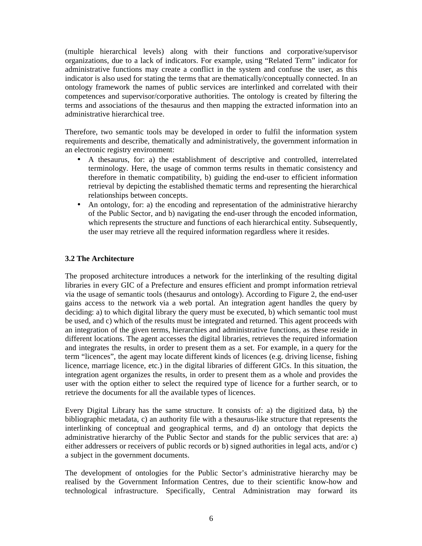(multiple hierarchical levels) along with their functions and corporative/supervisor organizations, due to a lack of indicators. For example, using "Related Term" indicator for administrative functions may create a conflict in the system and confuse the user, as this indicator is also used for stating the terms that are thematically/conceptually connected. In an ontology framework the names of public services are interlinked and correlated with their competences and supervisor/corporative authorities. The ontology is created by filtering the terms and associations of the thesaurus and then mapping the extracted information into an administrative hierarchical tree.

Therefore, two semantic tools may be developed in order to fulfil the information system requirements and describe, thematically and administratively, the government information in an electronic registry environment:

- A thesaurus, for: a) the establishment of descriptive and controlled, interrelated terminology. Here, the usage of common terms results in thematic consistency and therefore in thematic compatibility, b) guiding the end-user to efficient information retrieval by depicting the established thematic terms and representing the hierarchical relationships between concepts.
- An ontology, for: a) the encoding and representation of the administrative hierarchy of the Public Sector, and b) navigating the end-user through the encoded information, which represents the structure and functions of each hierarchical entity. Subsequently, the user may retrieve all the required information regardless where it resides.

## **3.2 The Architecture**

The proposed architecture introduces a network for the interlinking of the resulting digital libraries in every GIC of a Prefecture and ensures efficient and prompt information retrieval via the usage of semantic tools (thesaurus and ontology). According to Figure 2, the end-user gains access to the network via a web portal. An integration agent handles the query by deciding: a) to which digital library the query must be executed, b) which semantic tool must be used, and c) which of the results must be integrated and returned. This agent proceeds with an integration of the given terms, hierarchies and administrative functions, as these reside in different locations. The agent accesses the digital libraries, retrieves the required information and integrates the results, in order to present them as a set. For example, in a query for the term "licences", the agent may locate different kinds of licences (e.g. driving license, fishing licence, marriage licence, etc.) in the digital libraries of different GICs. In this situation, the integration agent organizes the results, in order to present them as a whole and provides the user with the option either to select the required type of licence for a further search, or to retrieve the documents for all the available types of licences.

Every Digital Library has the same structure. It consists of: a) the digitized data, b) the bibliographic metadata, c) an authority file with a thesaurus-like structure that represents the interlinking of conceptual and geographical terms, and d) an ontology that depicts the administrative hierarchy of the Public Sector and stands for the public services that are: a) either addressers or receivers of public records or b) signed authorities in legal acts, and/or c) a subject in the government documents.

The development of ontologies for the Public Sector's administrative hierarchy may be realised by the Government Information Centres, due to their scientific know-how and technological infrastructure. Specifically, Central Administration may forward its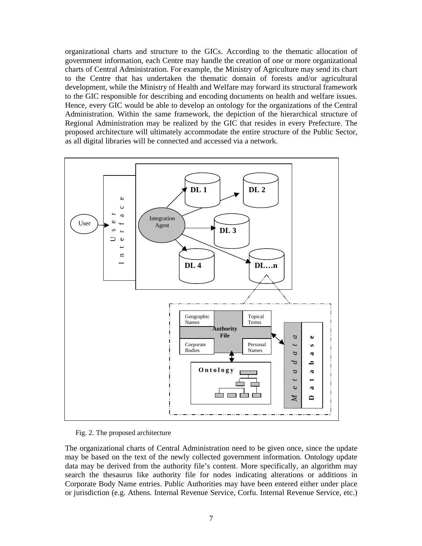organizational charts and structure to the GICs. According to the thematic allocation of government information, each Centre may handle the creation of one or more organizational charts of Central Administration. For example, the Ministry of Agriculture may send its chart to the Centre that has undertaken the thematic domain of forests and/or agricultural development, while the Ministry of Health and Welfare may forward its structural framework to the GIC responsible for describing and encoding documents on health and welfare issues. Hence, every GIC would be able to develop an ontology for the organizations of the Central Administration. Within the same framework, the depiction of the hierarchical structure of Regional Administration may be realized by the GIC that resides in every Prefecture. The proposed architecture will ultimately accommodate the entire structure of the Public Sector, as all digital libraries will be connected and accessed via a network.



Fig. 2. The proposed architecture

The organizational charts of Central Administration need to be given once, since the update may be based on the text of the newly collected government information. Ontology update data may be derived from the authority file's content. More specifically, an algorithm may search the thesaurus like authority file for nodes indicating alterations or additions in Corporate Body Name entries. Public Authorities may have been entered either under place or jurisdiction (e.g. Athens. Internal Revenue Service, Corfu. Internal Revenue Service, etc.)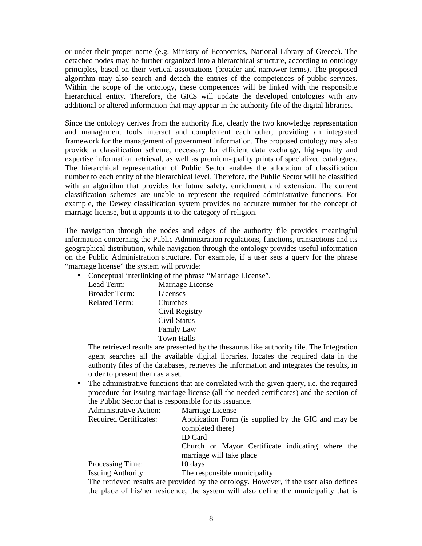or under their proper name (e.g. Ministry of Economics, National Library of Greece). The detached nodes may be further organized into a hierarchical structure, according to ontology principles, based on their vertical associations (broader and narrower terms). The proposed algorithm may also search and detach the entries of the competences of public services. Within the scope of the ontology, these competences will be linked with the responsible hierarchical entity. Therefore, the GICs will update the developed ontologies with any additional or altered information that may appear in the authority file of the digital libraries.

Since the ontology derives from the authority file, clearly the two knowledge representation and management tools interact and complement each other, providing an integrated framework for the management of government information. The proposed ontology may also provide a classification scheme, necessary for efficient data exchange, high-quality and expertise information retrieval, as well as premium-quality prints of specialized catalogues. The hierarchical representation of Public Sector enables the allocation of classification number to each entity of the hierarchical level. Therefore, the Public Sector will be classified with an algorithm that provides for future safety, enrichment and extension. The current classification schemes are unable to represent the required administrative functions. For example, the Dewey classification system provides no accurate number for the concept of marriage license, but it appoints it to the category of religion.

The navigation through the nodes and edges of the authority file provides meaningful information concerning the Public Administration regulations, functions, transactions and its geographical distribution, while navigation through the ontology provides useful information on the Public Administration structure. For example, if a user sets a query for the phrase "marriage license" the system will provide:

• Conceptual interlinking of the phrase "Marriage License".

| Marriage License  |  |
|-------------------|--|
| Licenses          |  |
| Churches          |  |
| Civil Registry    |  |
| Civil Status      |  |
| <b>Family Law</b> |  |
| <b>Town Halls</b> |  |
|                   |  |

The retrieved results are presented by the thesaurus like authority file. The Integration agent searches all the available digital libraries, locates the required data in the authority files of the databases, retrieves the information and integrates the results, in order to present them as a set.

The administrative functions that are correlated with the given query, i.e. the required procedure for issuing marriage license (all the needed certificates) and the section of the Public Sector that is responsible for its issuance.

| <b>Administrative Action:</b> | Marriage License                                                                    |
|-------------------------------|-------------------------------------------------------------------------------------|
| <b>Required Certificates:</b> | Application Form (is supplied by the GIC and may be<br>completed there)             |
|                               | <b>ID</b> Card                                                                      |
|                               | Church or Mayor Certificate indicating where the                                    |
|                               | marriage will take place                                                            |
| Processing Time:              | 10 days                                                                             |
| <b>Issuing Authority:</b>     | The responsible municipality                                                        |
|                               | The retrieved results are provided by the ontology However if the user also defines |

The retrieved results are provided by the ontology. However, if the user also defines the place of his/her residence, the system will also define the municipality that is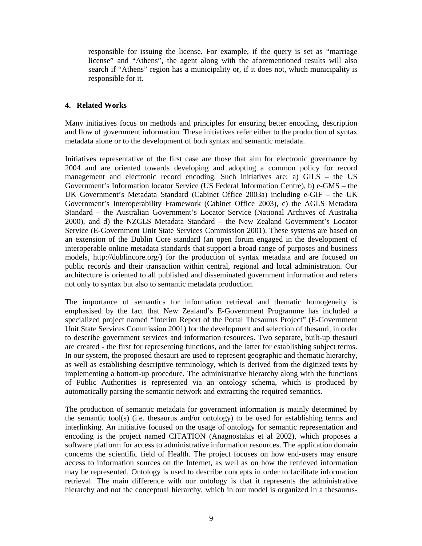responsible for issuing the license. For example, if the query is set as "marriage license" and "Athens", the agent along with the aforementioned results will also search if "Athens" region has a municipality or, if it does not, which municipality is responsible for it.

## **4. Related Works**

Many initiatives focus on methods and principles for ensuring better encoding, description and flow of government information. These initiatives refer either to the production of syntax metadata alone or to the development of both syntax and semantic metadata.

Initiatives representative of the first case are those that aim for electronic governance by 2004 and are oriented towards developing and adopting a common policy for record management and electronic record encoding. Such initiatives are: a) GILS – the US Government's Information locator Service (US Federal Information Centre), b) e-GMS – the UK Government's Metadata Standard (Cabinet Office 2003a) including e-GIF – the UK Government's Interoperability Framework (Cabinet Office 2003), c) the AGLS Metadata Standard – the Australian Government's Locator Service (National Archives of Australia 2000), and d) the NZGLS Metadata Standard – the New Zealand Government's Locator Service (E-Government Unit State Services Commission 2001). These systems are based on an extension of the Dublin Core standard (an open forum engaged in the development of interoperable online metadata standards that support a broad range of purposes and business models, http://dublincore.org/) for the production of syntax metadata and are focused on public records and their transaction within central, regional and local administration. Our architecture is oriented to all published and disseminated government information and refers not only to syntax but also to semantic metadata production.

The importance of semantics for information retrieval and thematic homogeneity is emphasised by the fact that New Zealand's E-Government Programme has included a specialized project named "Interim Report of the Portal Thesaurus Project" (E-Government Unit State Services Commission 2001) for the development and selection of thesauri, in order to describe government services and information resources. Two separate, built-up thesauri are created - the first for representing functions, and the latter for establishing subject terms. In our system, the proposed thesauri are used to represent geographic and thematic hierarchy, as well as establishing descriptive terminology, which is derived from the digitized texts by implementing a bottom-up procedure. The administrative hierarchy along with the functions of Public Authorities is represented via an ontology schema, which is produced by automatically parsing the semantic network and extracting the required semantics.

The production of semantic metadata for government information is mainly determined by the semantic tool(s) (i.e. thesaurus and/or ontology) to be used for establishing terms and interlinking. An initiative focused on the usage of ontology for semantic representation and encoding is the project named CITATION (Anagnostakis et al 2002), which proposes a software platform for access to administrative information resources. The application domain concerns the scientific field of Health. The project focuses on how end-users may ensure access to information sources on the Internet, as well as on how the retrieved information may be represented. Ontology is used to describe concepts in order to facilitate information retrieval. The main difference with our ontology is that it represents the administrative hierarchy and not the conceptual hierarchy, which in our model is organized in a thesaurus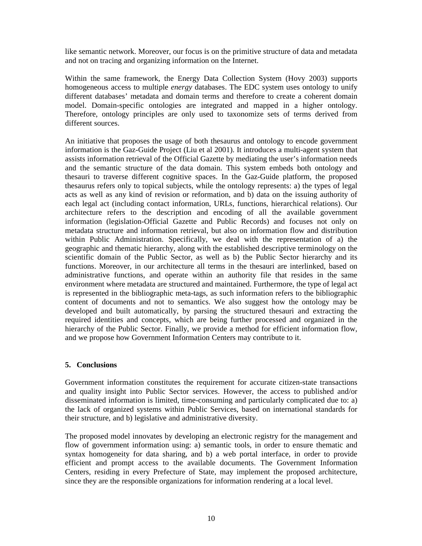like semantic network. Moreover, our focus is on the primitive structure of data and metadata and not on tracing and organizing information on the Internet.

Within the same framework, the Energy Data Collection System (Hovy 2003) supports homogeneous access to multiple *energy* databases. The EDC system uses ontology to unify different databases' metadata and domain terms and therefore to create a coherent domain model. Domain-specific ontologies are integrated and mapped in a higher ontology. Therefore, ontology principles are only used to taxonomize sets of terms derived from different sources.

An initiative that proposes the usage of both thesaurus and ontology to encode government information is the Gaz-Guide Project (Liu et al 2001). It introduces a multi-agent system that assists information retrieval of the Official Gazette by mediating the user's information needs and the semantic structure of the data domain. This system embeds both ontology and thesauri to traverse different cognitive spaces. In the Gaz-Guide platform, the proposed thesaurus refers only to topical subjects, while the ontology represents: a) the types of legal acts as well as any kind of revision or reformation, and b) data on the issuing authority of each legal act (including contact information, URLs, functions, hierarchical relations). Our architecture refers to the description and encoding of all the available government information (legislation-Official Gazette and Public Records) and focuses not only on metadata structure and information retrieval, but also on information flow and distribution within Public Administration. Specifically, we deal with the representation of a) the geographic and thematic hierarchy, along with the established descriptive terminology on the scientific domain of the Public Sector, as well as b) the Public Sector hierarchy and its functions. Moreover, in our architecture all terms in the thesauri are interlinked, based on administrative functions, and operate within an authority file that resides in the same environment where metadata are structured and maintained. Furthermore, the type of legal act is represented in the bibliographic meta-tags, as such information refers to the bibliographic content of documents and not to semantics. We also suggest how the ontology may be developed and built automatically, by parsing the structured thesauri and extracting the required identities and concepts, which are being further processed and organized in the hierarchy of the Public Sector. Finally, we provide a method for efficient information flow, and we propose how Government Information Centers may contribute to it.

# **5. Conclusions**

Government information constitutes the requirement for accurate citizen-state transactions and quality insight into Public Sector services. However, the access to published and/or disseminated information is limited, time-consuming and particularly complicated due to: a) the lack of organized systems within Public Services, based on international standards for their structure, and b) legislative and administrative diversity.

The proposed model innovates by developing an electronic registry for the management and flow of government information using: a) semantic tools, in order to ensure thematic and syntax homogeneity for data sharing, and b) a web portal interface, in order to provide efficient and prompt access to the available documents. The Government Information Centers, residing in every Prefecture of State, may implement the proposed architecture, since they are the responsible organizations for information rendering at a local level.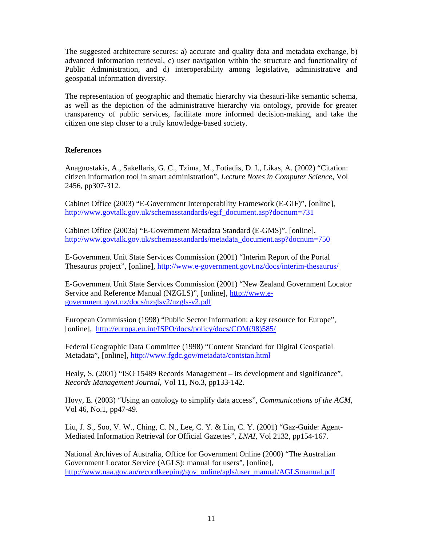The suggested architecture secures: a) accurate and quality data and metadata exchange, b) advanced information retrieval, c) user navigation within the structure and functionality of Public Administration, and d) interoperability among legislative, administrative and geospatial information diversity.

The representation of geographic and thematic hierarchy via thesauri-like semantic schema, as well as the depiction of the administrative hierarchy via ontology, provide for greater transparency of public services, facilitate more informed decision-making, and take the citizen one step closer to a truly knowledge-based society.

## **References**

Anagnostakis, A., Sakellaris, G. C., Tzima, M., Fotiadis, D. I., Likas, A. (2002) "Citation: citizen information tool in smart administration", *Lecture Notes in Computer Science*, Vol 2456, pp307-312.

Cabinet Office (2003) "E-Government Interoperability Framework (E-GIF)", [online], http://www.govtalk.gov.uk/schemasstandards/egif\_document.asp?docnum=731

Cabinet Office (2003a) "E-Government Metadata Standard (E-GMS)", [online], http://www.govtalk.gov.uk/schemasstandards/metadata\_document.asp?docnum=750

E-Government Unit State Services Commission (2001) "Interim Report of the Portal Thesaurus project", [online], http://www.e-government.govt.nz/docs/interim-thesaurus/

E-Government Unit State Services Commission (2001) "New Zealand Government Locator Service and Reference Manual (NZGLS)", [online], http://www.egovernment.govt.nz/docs/nzglsv2/nzgls-v2.pdf

European Commission (1998) "Public Sector Information: a key resource for Europe", [online], http://europa.eu.int/ISPO/docs/policy/docs/COM(98)585/

Federal Geographic Data Committee (1998) "Content Standard for Digital Geospatial Metadata", [online], http://www.fgdc.gov/metadata/contstan.html

Healy, S. (2001) "ISO 15489 Records Management – its development and significance", *Records Management Journal*, Vol 11, No.3, pp133-142.

Hovy, E. (2003) "Using an ontology to simplify data access", *Communications of the ACM*, Vol 46, No.1, pp47-49.

Liu, J. S., Soo, V. W., Ching, C. N., Lee, C. Y. & Lin, C. Y. (2001) "Gaz-Guide: Agent-Mediated Information Retrieval for Official Gazettes", *LNAI*, Vol 2132, pp154-167.

National Archives of Australia, Office for Government Online (2000) "The Australian Government Locator Service (AGLS): manual for users", [online], http://www.naa.gov.au/recordkeeping/gov\_online/agls/user\_manual/AGLSmanual.pdf